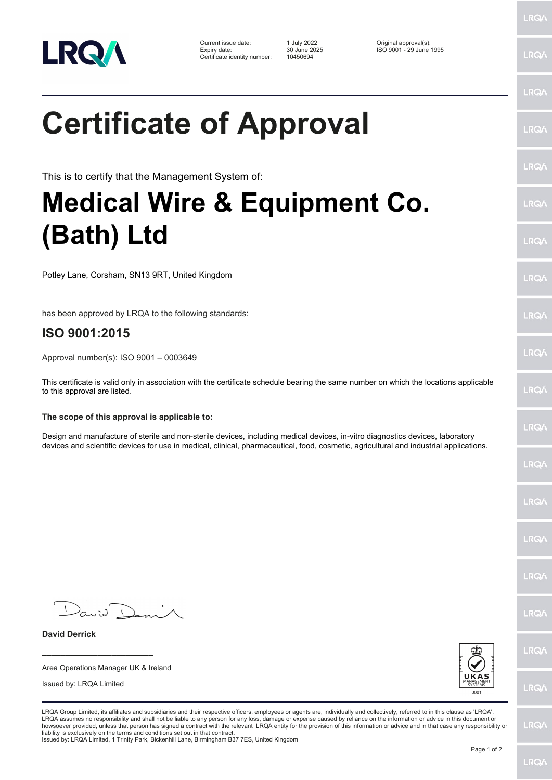

| Current issue date:          | 1 July 2022  | Original approval(s):   |
|------------------------------|--------------|-------------------------|
| Expiry date:                 | 30 June 2025 | ISO 9001 - 29 June 1995 |
| Certificate identity number: | 10450694     |                         |

LRQ/

LRQ/

LRQ/

LRQ/

LRQ/

LRQ/

LRQ/

LRQ/

**LRQA** 

LRQ/

LRQ/

LRQ/

LRQ/

LRQ/

LRQ/

**IRQA** 

LRQ/

LRQ/

LRQ/

LRQ/

## **Certificate of Approval**

This is to certify that the Management System of:

## **Medical Wire & Equipment Co. (Bath) Ltd**

Potley Lane, Corsham, SN13 9RT, United Kingdom

has been approved by LRQA to the following standards:

## **ISO 9001:2015**

Approval number(s): ISO 9001 – 0003649

This certificate is valid only in association with the certificate schedule bearing the same number on which the locations applicable to this approval are listed.

## **The scope of this approval is applicable to:**

Design and manufacture of sterile and non-sterile devices, including medical devices, in-vitro diagnostics devices, laboratory devices and scientific devices for use in medical, clinical, pharmaceutical, food, cosmetic, agricultural and industrial applications.

 $D_{\alpha\omega}$ 

**\_\_\_\_\_\_\_\_\_\_\_\_\_\_\_\_\_\_\_\_\_\_\_\_** Area Operations Manager UK & Ireland

Issued by: LRQA Limited

**David Derrick**



LRQA Group Limited, its affiliates and subsidiaries and their respective officers, employees or agents are, individually and collectively, referred to in this clause as 'LRQA'. LRQA assumes no responsibility and shall not be liable to any person for any loss, damage or expense caused by reliance on the information or advice in this document or<br>howsoever provided, unless that person has signed a c liability is exclusively on the terms and conditions set out in that contract.

Issued by: LRQA Limited, 1 Trinity Park, Bickenhill Lane, Birmingham B37 7ES, United Kingdom